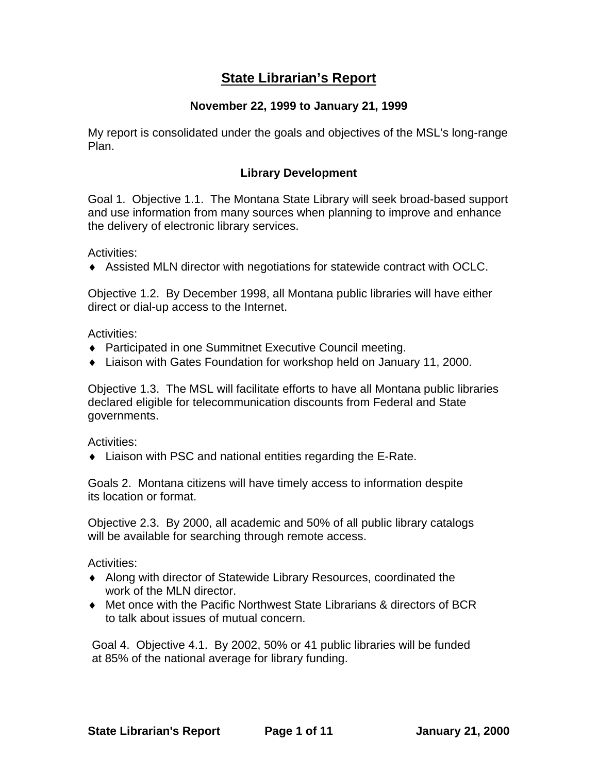# **State Librarian's Report**

#### **November 22, 1999 to January 21, 1999**

My report is consolidated under the goals and objectives of the MSL's long-range Plan.

#### **Library Development**

Goal 1. Objective 1.1. The Montana State Library will seek broad-based support and use information from many sources when planning to improve and enhance the delivery of electronic library services.

Activities:

♦ Assisted MLN director with negotiations for statewide contract with OCLC.

Objective 1.2. By December 1998, all Montana public libraries will have either direct or dial-up access to the Internet.

Activities:

- ♦ Participated in one Summitnet Executive Council meeting.
- ♦ Liaison with Gates Foundation for workshop held on January 11, 2000.

Objective 1.3. The MSL will facilitate efforts to have all Montana public libraries declared eligible for telecommunication discounts from Federal and State governments.

Activities:

♦ Liaison with PSC and national entities regarding the E-Rate.

Goals 2. Montana citizens will have timely access to information despite its location or format.

Objective 2.3. By 2000, all academic and 50% of all public library catalogs will be available for searching through remote access.

Activities:

- ♦ Along with director of Statewide Library Resources, coordinated the work of the MLN director.
- ♦ Met once with the Pacific Northwest State Librarians & directors of BCR to talk about issues of mutual concern.

Goal 4. Objective 4.1. By 2002, 50% or 41 public libraries will be funded at 85% of the national average for library funding.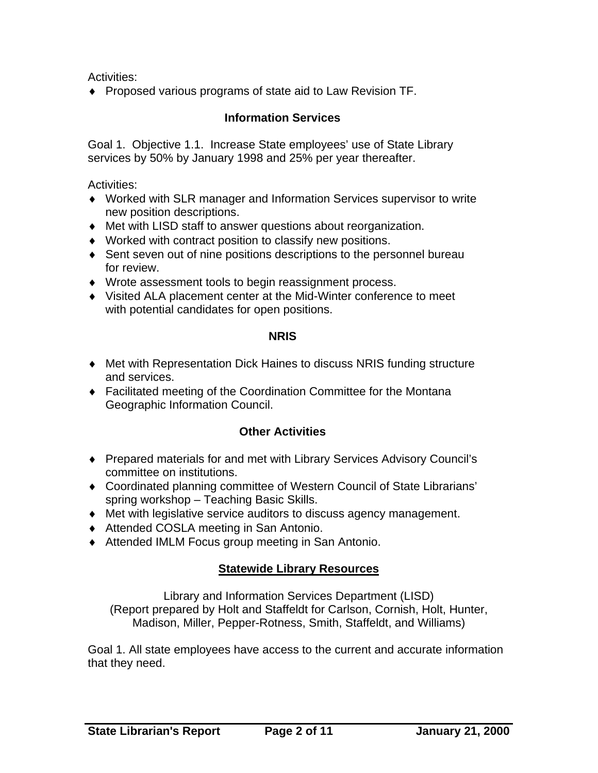Activities:

♦ Proposed various programs of state aid to Law Revision TF.

#### **Information Services**

Goal 1. Objective 1.1. Increase State employees' use of State Library services by 50% by January 1998 and 25% per year thereafter.

Activities:

- ♦ Worked with SLR manager and Information Services supervisor to write new position descriptions.
- ♦ Met with LISD staff to answer questions about reorganization.
- ♦ Worked with contract position to classify new positions.
- ♦ Sent seven out of nine positions descriptions to the personnel bureau for review.
- ♦ Wrote assessment tools to begin reassignment process.
- ♦ Visited ALA placement center at the Mid-Winter conference to meet with potential candidates for open positions.

#### **NRIS**

- ♦ Met with Representation Dick Haines to discuss NRIS funding structure and services.
- ♦ Facilitated meeting of the Coordination Committee for the Montana Geographic Information Council.

# **Other Activities**

- ♦ Prepared materials for and met with Library Services Advisory Council's committee on institutions.
- ♦ Coordinated planning committee of Western Council of State Librarians' spring workshop – Teaching Basic Skills.
- ♦ Met with legislative service auditors to discuss agency management.
- ♦ Attended COSLA meeting in San Antonio.
- ♦ Attended IMLM Focus group meeting in San Antonio.

# **Statewide Library Resources**

Library and Information Services Department (LISD) (Report prepared by Holt and Staffeldt for Carlson, Cornish, Holt, Hunter, Madison, Miller, Pepper-Rotness, Smith, Staffeldt, and Williams)

Goal 1. All state employees have access to the current and accurate information that they need.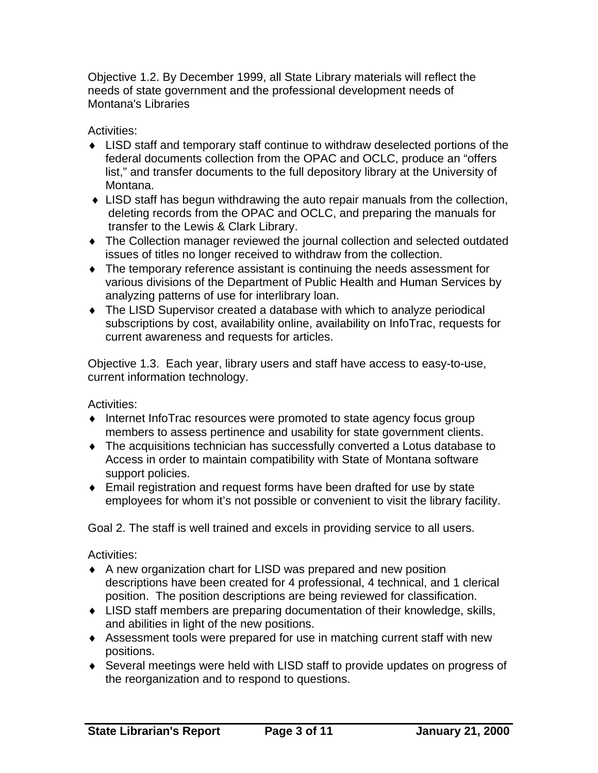Objective 1.2. By December 1999, all State Library materials will reflect the needs of state government and the professional development needs of Montana's Libraries

Activities:

- ♦ LISD staff and temporary staff continue to withdraw deselected portions of the federal documents collection from the OPAC and OCLC, produce an "offers list," and transfer documents to the full depository library at the University of Montana.
- ♦ LISD staff has begun withdrawing the auto repair manuals from the collection, deleting records from the OPAC and OCLC, and preparing the manuals for transfer to the Lewis & Clark Library.
- ♦ The Collection manager reviewed the journal collection and selected outdated issues of titles no longer received to withdraw from the collection.
- ♦ The temporary reference assistant is continuing the needs assessment for various divisions of the Department of Public Health and Human Services by analyzing patterns of use for interlibrary loan.
- ♦ The LISD Supervisor created a database with which to analyze periodical subscriptions by cost, availability online, availability on InfoTrac, requests for current awareness and requests for articles.

Objective 1.3. Each year, library users and staff have access to easy-to-use, current information technology.

Activities:

- ♦ Internet InfoTrac resources were promoted to state agency focus group members to assess pertinence and usability for state government clients.
- ♦ The acquisitions technician has successfully converted a Lotus database to Access in order to maintain compatibility with State of Montana software support policies.
- ♦ Email registration and request forms have been drafted for use by state employees for whom it's not possible or convenient to visit the library facility.

Goal 2. The staff is well trained and excels in providing service to all users.

- ♦ A new organization chart for LISD was prepared and new position descriptions have been created for 4 professional, 4 technical, and 1 clerical position. The position descriptions are being reviewed for classification.
- ♦ LISD staff members are preparing documentation of their knowledge, skills, and abilities in light of the new positions.
- ♦ Assessment tools were prepared for use in matching current staff with new positions.
- ♦ Several meetings were held with LISD staff to provide updates on progress of the reorganization and to respond to questions.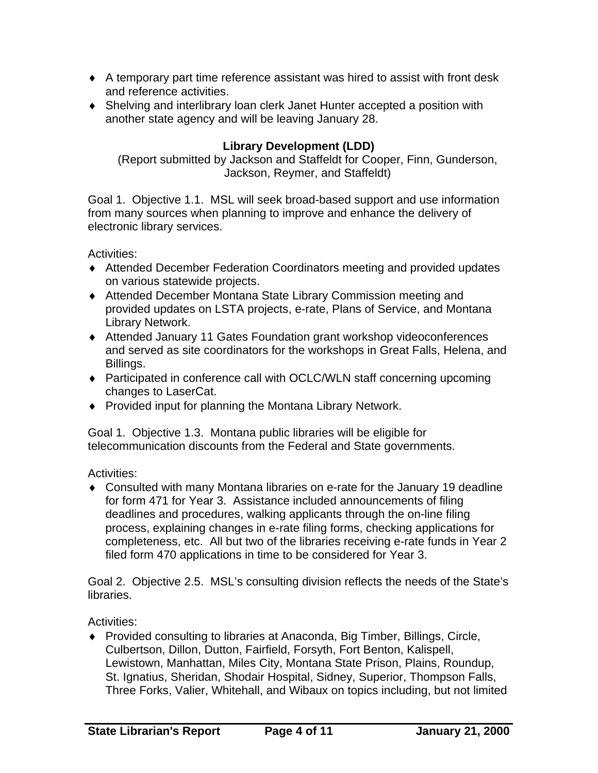- ♦ A temporary part time reference assistant was hired to assist with front desk and reference activities.
- ♦ Shelving and interlibrary loan clerk Janet Hunter accepted a position with another state agency and will be leaving January 28.

### **Library Development (LDD)**

(Report submitted by Jackson and Staffeldt for Cooper, Finn, Gunderson, Jackson, Reymer, and Staffeldt)

Goal 1. Objective 1.1. MSL will seek broad-based support and use information from many sources when planning to improve and enhance the delivery of electronic library services.

Activities:

- ♦ Attended December Federation Coordinators meeting and provided updates on various statewide projects.
- ♦ Attended December Montana State Library Commission meeting and provided updates on LSTA projects, e-rate, Plans of Service, and Montana Library Network.
- ♦ Attended January 11 Gates Foundation grant workshop videoconferences and served as site coordinators for the workshops in Great Falls, Helena, and Billings.
- ♦ Participated in conference call with OCLC/WLN staff concerning upcoming changes to LaserCat.
- ♦ Provided input for planning the Montana Library Network.

Goal 1. Objective 1.3. Montana public libraries will be eligible for telecommunication discounts from the Federal and State governments.

Activities:

♦ Consulted with many Montana libraries on e-rate for the January 19 deadline for form 471 for Year 3. Assistance included announcements of filing deadlines and procedures, walking applicants through the on-line filing process, explaining changes in e-rate filing forms, checking applications for completeness, etc. All but two of the libraries receiving e-rate funds in Year 2 filed form 470 applications in time to be considered for Year 3.

Goal 2. Objective 2.5. MSL's consulting division reflects the needs of the State's libraries.

Activities:

♦ Provided consulting to libraries at Anaconda, Big Timber, Billings, Circle, Culbertson, Dillon, Dutton, Fairfield, Forsyth, Fort Benton, Kalispell, Lewistown, Manhattan, Miles City, Montana State Prison, Plains, Roundup, St. Ignatius, Sheridan, Shodair Hospital, Sidney, Superior, Thompson Falls, Three Forks, Valier, Whitehall, and Wibaux on topics including, but not limited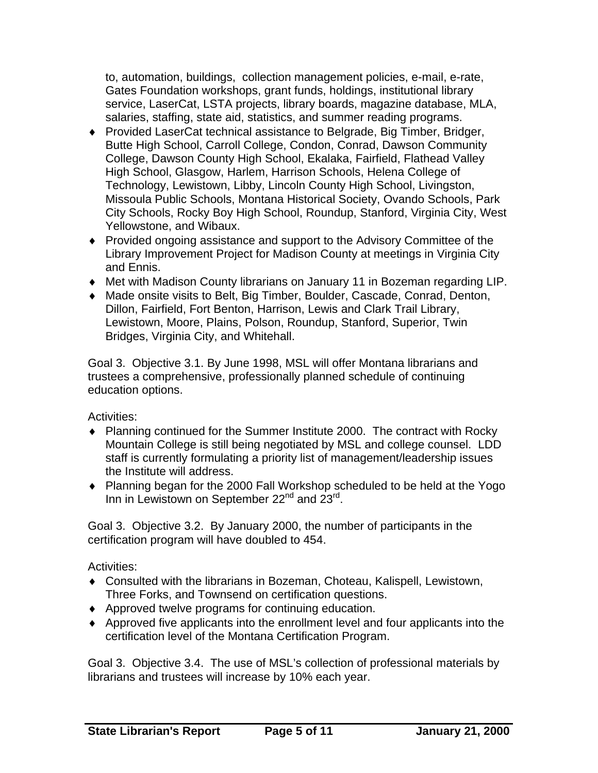to, automation, buildings, collection management policies, e-mail, e-rate, Gates Foundation workshops, grant funds, holdings, institutional library service, LaserCat, LSTA projects, library boards, magazine database, MLA, salaries, staffing, state aid, statistics, and summer reading programs.

- ♦ Provided LaserCat technical assistance to Belgrade, Big Timber, Bridger, Butte High School, Carroll College, Condon, Conrad, Dawson Community College, Dawson County High School, Ekalaka, Fairfield, Flathead Valley High School, Glasgow, Harlem, Harrison Schools, Helena College of Technology, Lewistown, Libby, Lincoln County High School, Livingston, Missoula Public Schools, Montana Historical Society, Ovando Schools, Park City Schools, Rocky Boy High School, Roundup, Stanford, Virginia City, West Yellowstone, and Wibaux.
- ♦ Provided ongoing assistance and support to the Advisory Committee of the Library Improvement Project for Madison County at meetings in Virginia City and Ennis.
- ♦ Met with Madison County librarians on January 11 in Bozeman regarding LIP.
- ♦ Made onsite visits to Belt, Big Timber, Boulder, Cascade, Conrad, Denton, Dillon, Fairfield, Fort Benton, Harrison, Lewis and Clark Trail Library, Lewistown, Moore, Plains, Polson, Roundup, Stanford, Superior, Twin Bridges, Virginia City, and Whitehall.

Goal 3. Objective 3.1. By June 1998, MSL will offer Montana librarians and trustees a comprehensive, professionally planned schedule of continuing education options.

Activities:

- ♦ Planning continued for the Summer Institute 2000. The contract with Rocky Mountain College is still being negotiated by MSL and college counsel. LDD staff is currently formulating a priority list of management/leadership issues the Institute will address.
- ♦ Planning began for the 2000 Fall Workshop scheduled to be held at the Yogo Inn in Lewistown on September  $22^{nd}$  and  $23^{rd}$ .

Goal 3. Objective 3.2. By January 2000, the number of participants in the certification program will have doubled to 454.

Activities:

- ♦ Consulted with the librarians in Bozeman, Choteau, Kalispell, Lewistown, Three Forks, and Townsend on certification questions.
- ♦ Approved twelve programs for continuing education.
- ♦ Approved five applicants into the enrollment level and four applicants into the certification level of the Montana Certification Program.

Goal 3. Objective 3.4. The use of MSL's collection of professional materials by librarians and trustees will increase by 10% each year.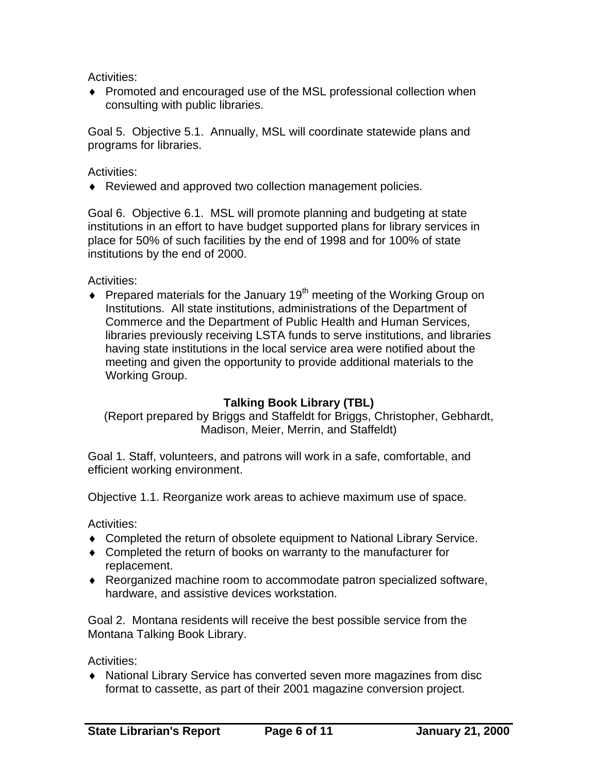Activities:

♦ Promoted and encouraged use of the MSL professional collection when consulting with public libraries.

Goal 5. Objective 5.1. Annually, MSL will coordinate statewide plans and programs for libraries.

Activities:

♦ Reviewed and approved two collection management policies.

Goal 6. Objective 6.1. MSL will promote planning and budgeting at state institutions in an effort to have budget supported plans for library services in place for 50% of such facilities by the end of 1998 and for 100% of state institutions by the end of 2000.

Activities:

 $\bullet$  Prepared materials for the January 19<sup>th</sup> meeting of the Working Group on Institutions. All state institutions, administrations of the Department of Commerce and the Department of Public Health and Human Services, libraries previously receiving LSTA funds to serve institutions, and libraries having state institutions in the local service area were notified about the meeting and given the opportunity to provide additional materials to the Working Group.

#### **Talking Book Library (TBL)**

(Report prepared by Briggs and Staffeldt for Briggs, Christopher, Gebhardt, Madison, Meier, Merrin, and Staffeldt)

Goal 1. Staff, volunteers, and patrons will work in a safe, comfortable, and efficient working environment.

Objective 1.1. Reorganize work areas to achieve maximum use of space.

Activities:

- ♦ Completed the return of obsolete equipment to National Library Service.
- ♦ Completed the return of books on warranty to the manufacturer for replacement.
- ♦ Reorganized machine room to accommodate patron specialized software, hardware, and assistive devices workstation.

Goal 2. Montana residents will receive the best possible service from the Montana Talking Book Library.

Activities:

♦ National Library Service has converted seven more magazines from disc format to cassette, as part of their 2001 magazine conversion project.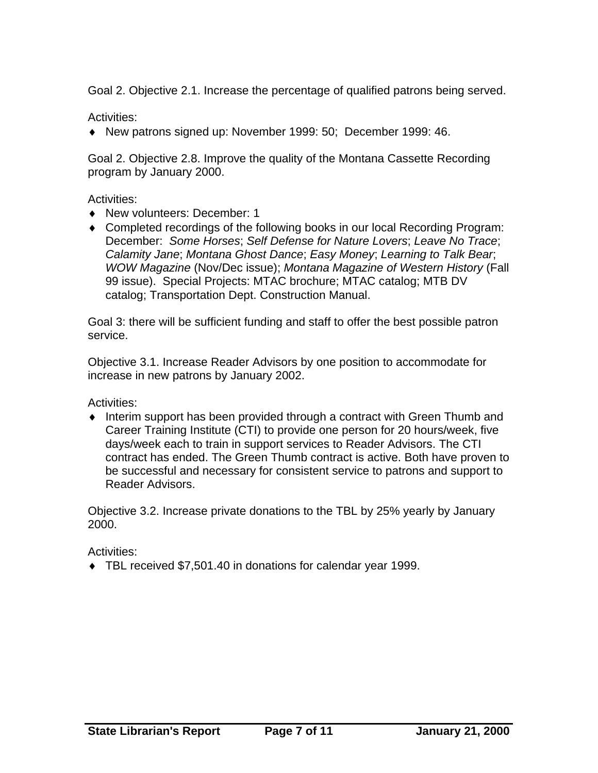Goal 2. Objective 2.1. Increase the percentage of qualified patrons being served.

Activities:

♦ New patrons signed up: November 1999: 50; December 1999: 46.

Goal 2. Objective 2.8. Improve the quality of the Montana Cassette Recording program by January 2000.

Activities:

- ♦ New volunteers: December: 1
- ♦ Completed recordings of the following books in our local Recording Program: December: *Some Horses*; *Self Defense for Nature Lovers*; *Leave No Trace*; *Calamity Jane*; *Montana Ghost Dance*; *Easy Money*; *Learning to Talk Bear*; *WOW Magazine* (Nov/Dec issue); *Montana Magazine of Western History* (Fall 99 issue). Special Projects: MTAC brochure; MTAC catalog; MTB DV catalog; Transportation Dept. Construction Manual.

Goal 3: there will be sufficient funding and staff to offer the best possible patron service.

Objective 3.1. Increase Reader Advisors by one position to accommodate for increase in new patrons by January 2002.

Activities:

♦ Interim support has been provided through a contract with Green Thumb and Career Training Institute (CTI) to provide one person for 20 hours/week, five days/week each to train in support services to Reader Advisors. The CTI contract has ended. The Green Thumb contract is active. Both have proven to be successful and necessary for consistent service to patrons and support to Reader Advisors.

Objective 3.2. Increase private donations to the TBL by 25% yearly by January 2000.

Activities:

♦ TBL received \$7,501.40 in donations for calendar year 1999.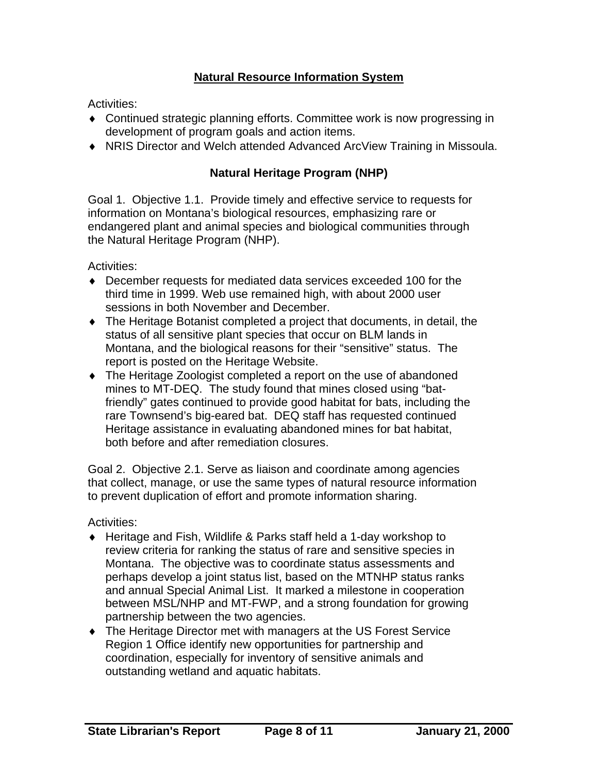### **Natural Resource Information System**

Activities:

- ♦ Continued strategic planning efforts. Committee work is now progressing in development of program goals and action items.
- ♦ NRIS Director and Welch attended Advanced ArcView Training in Missoula.

#### **Natural Heritage Program (NHP)**

Goal 1. Objective 1.1. Provide timely and effective service to requests for information on Montana's biological resources, emphasizing rare or endangered plant and animal species and biological communities through the Natural Heritage Program (NHP).

Activities:

- ♦ December requests for mediated data services exceeded 100 for the third time in 1999. Web use remained high, with about 2000 user sessions in both November and December.
- ♦ The Heritage Botanist completed a project that documents, in detail, the status of all sensitive plant species that occur on BLM lands in Montana, and the biological reasons for their "sensitive" status. The report is posted on the Heritage Website.
- ♦ The Heritage Zoologist completed a report on the use of abandoned mines to MT-DEQ. The study found that mines closed using "batfriendly" gates continued to provide good habitat for bats, including the rare Townsend's big-eared bat. DEQ staff has requested continued Heritage assistance in evaluating abandoned mines for bat habitat, both before and after remediation closures.

Goal 2. Objective 2.1. Serve as liaison and coordinate among agencies that collect, manage, or use the same types of natural resource information to prevent duplication of effort and promote information sharing.

- ♦ Heritage and Fish, Wildlife & Parks staff held a 1-day workshop to review criteria for ranking the status of rare and sensitive species in Montana. The objective was to coordinate status assessments and perhaps develop a joint status list, based on the MTNHP status ranks and annual Special Animal List. It marked a milestone in cooperation between MSL/NHP and MT-FWP, and a strong foundation for growing partnership between the two agencies.
- ♦ The Heritage Director met with managers at the US Forest Service Region 1 Office identify new opportunities for partnership and coordination, especially for inventory of sensitive animals and outstanding wetland and aquatic habitats.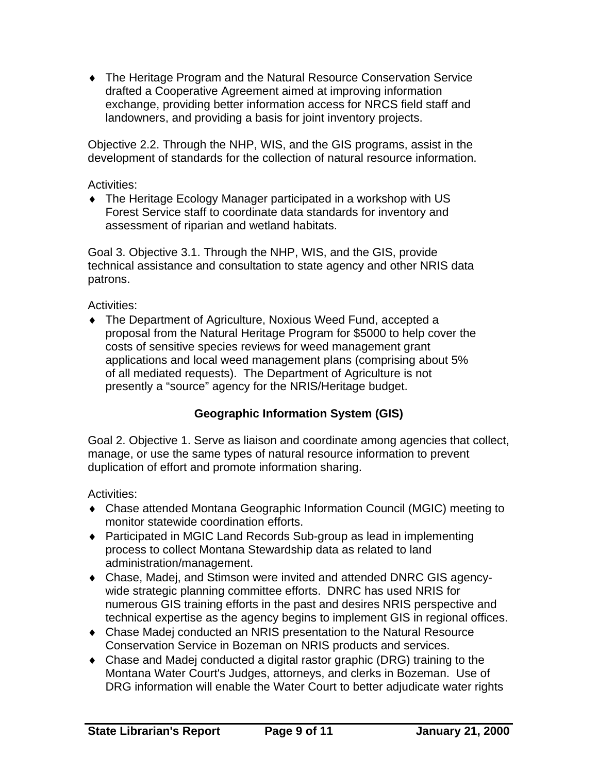♦ The Heritage Program and the Natural Resource Conservation Service drafted a Cooperative Agreement aimed at improving information exchange, providing better information access for NRCS field staff and landowners, and providing a basis for joint inventory projects.

Objective 2.2. Through the NHP, WIS, and the GIS programs, assist in the development of standards for the collection of natural resource information.

Activities:

♦ The Heritage Ecology Manager participated in a workshop with US Forest Service staff to coordinate data standards for inventory and assessment of riparian and wetland habitats.

Goal 3. Objective 3.1. Through the NHP, WIS, and the GIS, provide technical assistance and consultation to state agency and other NRIS data patrons.

Activities:

♦ The Department of Agriculture, Noxious Weed Fund, accepted a proposal from the Natural Heritage Program for \$5000 to help cover the costs of sensitive species reviews for weed management grant applications and local weed management plans (comprising about 5% of all mediated requests). The Department of Agriculture is not presently a "source" agency for the NRIS/Heritage budget.

# **Geographic Information System (GIS)**

Goal 2. Objective 1. Serve as liaison and coordinate among agencies that collect, manage, or use the same types of natural resource information to prevent duplication of effort and promote information sharing.

- ♦ Chase attended Montana Geographic Information Council (MGIC) meeting to monitor statewide coordination efforts.
- ♦ Participated in MGIC Land Records Sub-group as lead in implementing process to collect Montana Stewardship data as related to land administration/management.
- ♦ Chase, Madej, and Stimson were invited and attended DNRC GIS agencywide strategic planning committee efforts. DNRC has used NRIS for numerous GIS training efforts in the past and desires NRIS perspective and technical expertise as the agency begins to implement GIS in regional offices.
- ♦ Chase Madej conducted an NRIS presentation to the Natural Resource Conservation Service in Bozeman on NRIS products and services.
- ♦ Chase and Madej conducted a digital rastor graphic (DRG) training to the Montana Water Court's Judges, attorneys, and clerks in Bozeman. Use of DRG information will enable the Water Court to better adjudicate water rights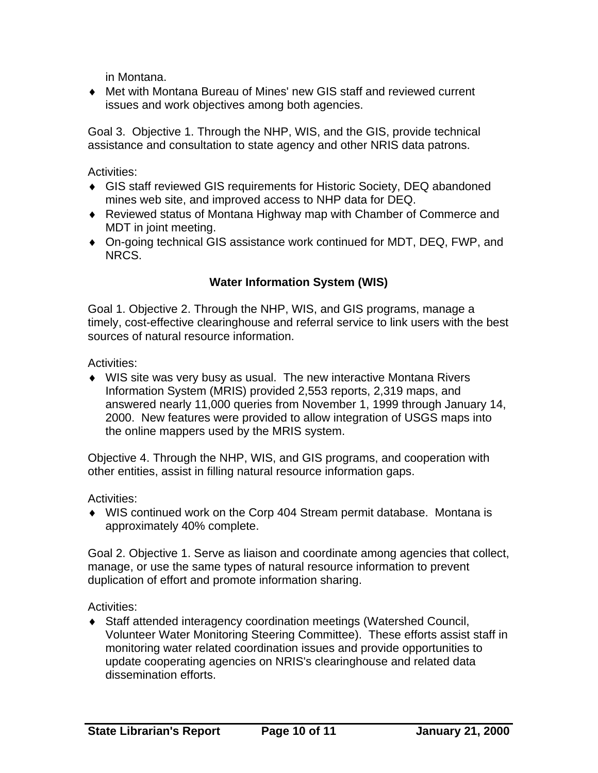in Montana.

♦ Met with Montana Bureau of Mines' new GIS staff and reviewed current issues and work objectives among both agencies.

Goal 3. Objective 1. Through the NHP, WIS, and the GIS, provide technical assistance and consultation to state agency and other NRIS data patrons.

Activities:

- ♦ GIS staff reviewed GIS requirements for Historic Society, DEQ abandoned mines web site, and improved access to NHP data for DEQ.
- ♦ Reviewed status of Montana Highway map with Chamber of Commerce and MDT in joint meeting.
- ♦ On-going technical GIS assistance work continued for MDT, DEQ, FWP, and NRCS.

### **Water Information System (WIS)**

Goal 1. Objective 2. Through the NHP, WIS, and GIS programs, manage a timely, cost-effective clearinghouse and referral service to link users with the best sources of natural resource information.

Activities:

♦ WIS site was very busy as usual. The new interactive Montana Rivers Information System (MRIS) provided 2,553 reports, 2,319 maps, and answered nearly 11,000 queries from November 1, 1999 through January 14, 2000. New features were provided to allow integration of USGS maps into the online mappers used by the MRIS system.

Objective 4. Through the NHP, WIS, and GIS programs, and cooperation with other entities, assist in filling natural resource information gaps.

Activities:

♦ WIS continued work on the Corp 404 Stream permit database. Montana is approximately 40% complete.

Goal 2. Objective 1. Serve as liaison and coordinate among agencies that collect, manage, or use the same types of natural resource information to prevent duplication of effort and promote information sharing.

Activities:

♦ Staff attended interagency coordination meetings (Watershed Council, Volunteer Water Monitoring Steering Committee). These efforts assist staff in monitoring water related coordination issues and provide opportunities to update cooperating agencies on NRIS's clearinghouse and related data dissemination efforts.